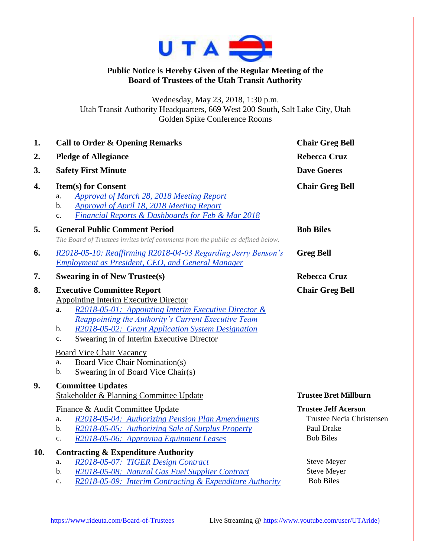

## **Public Notice is Hereby Given of the Regular Meeting of the Board of Trustees of the Utah Transit Authority**

Wednesday, May 23, 2018, 1:30 p.m. Utah Transit Authority Headquarters, 669 West 200 South, Salt Lake City, Utah Golden Spike Conference Rooms

| 1.  | <b>Call to Order &amp; Opening Remarks</b>                                                                                                                                                                                                                                                                                                                                                                                           | <b>Chair Greg Bell</b>                                                                            |
|-----|--------------------------------------------------------------------------------------------------------------------------------------------------------------------------------------------------------------------------------------------------------------------------------------------------------------------------------------------------------------------------------------------------------------------------------------|---------------------------------------------------------------------------------------------------|
| 2.  | <b>Pledge of Allegiance</b>                                                                                                                                                                                                                                                                                                                                                                                                          | <b>Rebecca Cruz</b>                                                                               |
| 3.  | <b>Safety First Minute</b>                                                                                                                                                                                                                                                                                                                                                                                                           | <b>Dave Goeres</b>                                                                                |
| 4.  | <b>Item(s) for Consent</b><br><b>Approval of March 28, 2018 Meeting Report</b><br>a.<br>b.<br><b>Approval of April 18, 2018 Meeting Report</b><br>Financial Reports & Dashboards for Feb & Mar 2018<br>c.                                                                                                                                                                                                                            | <b>Chair Greg Bell</b>                                                                            |
| 5.  | <b>General Public Comment Period</b><br>The Board of Trustees invites brief comments from the public as defined below.                                                                                                                                                                                                                                                                                                               | <b>Bob Biles</b>                                                                                  |
| 6.  | R2018-05-10: Reaffirming R2018-04-03 Regarding Jerry Benson's<br><b>Employment as President, CEO, and General Manager</b>                                                                                                                                                                                                                                                                                                            | <b>Greg Bell</b>                                                                                  |
| 7.  | <b>Swearing in of New Trustee(s)</b>                                                                                                                                                                                                                                                                                                                                                                                                 | <b>Rebecca Cruz</b>                                                                               |
| 8.  | <b>Executive Committee Report</b><br>Appointing Interim Executive Director<br>R2018-05-01: Appointing Interim Executive Director &<br>a.<br>Reappointing the Authority's Current Executive Team<br>R2018-05-02: Grant Application System Designation<br>b.<br>Swearing in of Interim Executive Director<br>c.<br><b>Board Vice Chair Vacancy</b><br>Board Vice Chair Nomination(s)<br>a.<br>b.<br>Swearing in of Board Vice Chair(s) | <b>Chair Greg Bell</b>                                                                            |
| 9.  | <b>Committee Updates</b><br>Stakeholder & Planning Committee Update                                                                                                                                                                                                                                                                                                                                                                  | <b>Trustee Bret Millburn</b>                                                                      |
|     | Finance & Audit Committee Update<br>R2018-05-04: Authorizing Pension Plan Amendments<br>a.<br>R2018-05-05: Authorizing Sale of Surplus Property<br>b.<br>R2018-05-06: Approving Equipment Leases<br>c.                                                                                                                                                                                                                               | <b>Trustee Jeff Acerson</b><br><b>Trustee Necia Christensen</b><br>Paul Drake<br><b>Bob Biles</b> |
| 10. | <b>Contracting &amp; Expenditure Authority</b><br>R2018-05-07: TIGER Design Contract<br>a.<br>b.<br>R2018-05-08: Natural Gas Fuel Supplier Contract<br>R2018-05-09: Interim Contracting & Expenditure Authority<br>c.                                                                                                                                                                                                                | <b>Steve Meyer</b><br><b>Steve Meyer</b><br><b>Bob Biles</b>                                      |